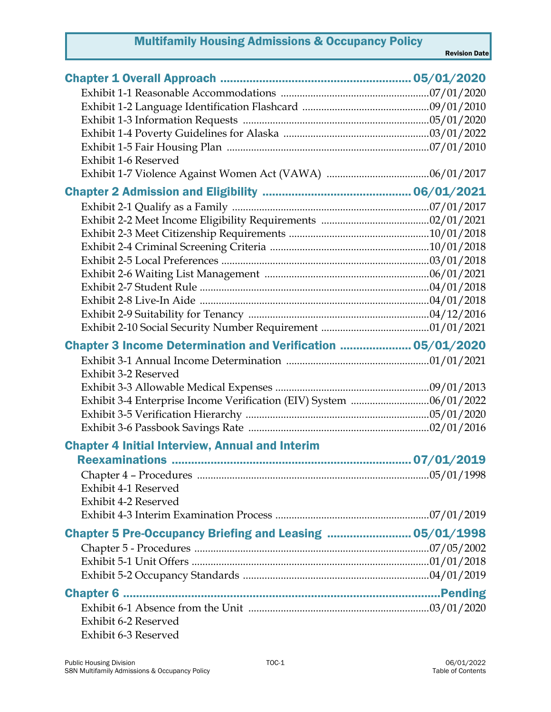## Multifamily Housing Admissions & Occupancy Policy

| Exhibit 1-6 Reserved                                        |  |
|-------------------------------------------------------------|--|
|                                                             |  |
|                                                             |  |
|                                                             |  |
|                                                             |  |
|                                                             |  |
|                                                             |  |
|                                                             |  |
|                                                             |  |
|                                                             |  |
|                                                             |  |
|                                                             |  |
|                                                             |  |
| Chapter 3 Income Determination and Verification  05/01/2020 |  |
|                                                             |  |
| Exhibit 3-2 Reserved                                        |  |
|                                                             |  |
|                                                             |  |
|                                                             |  |
|                                                             |  |
| <b>Chapter 4 Initial Interview, Annual and Interim</b>      |  |
|                                                             |  |
|                                                             |  |
| Exhibit 4-1 Reserved                                        |  |
| Exhibit 4-2 Reserved                                        |  |
|                                                             |  |
| Chapter 5 Pre-Occupancy Briefing and Leasing  05/01/1998    |  |
|                                                             |  |
|                                                             |  |
|                                                             |  |
|                                                             |  |
|                                                             |  |
| Exhibit 6-2 Reserved                                        |  |
| Exhibit 6-3 Reserved                                        |  |